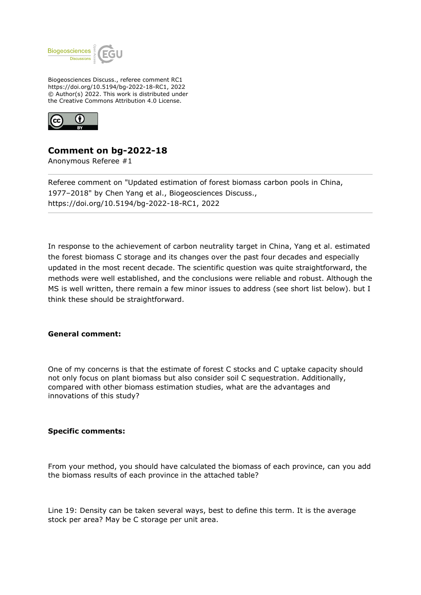

Biogeosciences Discuss., referee comment RC1 https://doi.org/10.5194/bg-2022-18-RC1, 2022 © Author(s) 2022. This work is distributed under the Creative Commons Attribution 4.0 License.



## **Comment on bg-2022-18**

Anonymous Referee #1

Referee comment on "Updated estimation of forest biomass carbon pools in China, 1977–2018" by Chen Yang et al., Biogeosciences Discuss., https://doi.org/10.5194/bg-2022-18-RC1, 2022

In response to the achievement of carbon neutrality target in China, Yang et al. estimated the forest biomass C storage and its changes over the past four decades and especially updated in the most recent decade. The scientific question was quite straightforward, the methods were well established, and the conclusions were reliable and robust. Although the MS is well written, there remain a few minor issues to address (see short list below). but I think these should be straightforward.

## **General comment:**

One of my concerns is that the estimate of forest C stocks and C uptake capacity should not only focus on plant biomass but also consider soil C sequestration. Additionally, compared with other biomass estimation studies, what are the advantages and innovations of this study?

## **Specific comments:**

From your method, you should have calculated the biomass of each province, can you add the biomass results of each province in the attached table?

Line 19: Density can be taken several ways, best to define this term. It is the average stock per area? May be C storage per unit area.